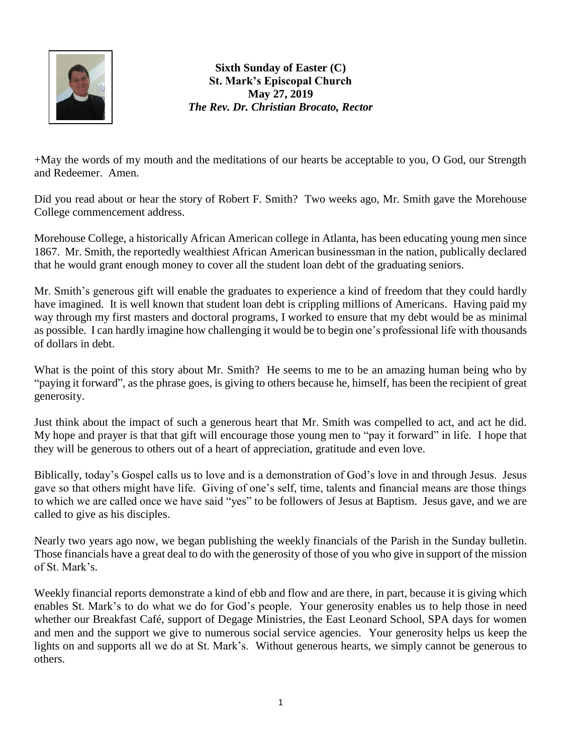

**Sixth Sunday of Easter (C) St. Mark's Episcopal Church May 27, 2019** *The Rev. Dr. Christian Brocato, Rector*

+May the words of my mouth and the meditations of our hearts be acceptable to you, O God, our Strength and Redeemer. Amen.

Did you read about or hear the story of Robert F. Smith? Two weeks ago, Mr. Smith gave the Morehouse College commencement address.

Morehouse College, a historically African American college in Atlanta, has been educating young men since 1867. Mr. Smith, the reportedly wealthiest African American businessman in the nation, publically declared that he would grant enough money to cover all the student loan debt of the graduating seniors.

Mr. Smith's generous gift will enable the graduates to experience a kind of freedom that they could hardly have imagined. It is well known that student loan debt is crippling millions of Americans. Having paid my way through my first masters and doctoral programs, I worked to ensure that my debt would be as minimal as possible. I can hardly imagine how challenging it would be to begin one's professional life with thousands of dollars in debt.

What is the point of this story about Mr. Smith? He seems to me to be an amazing human being who by "paying it forward", as the phrase goes, is giving to others because he, himself, has been the recipient of great generosity.

Just think about the impact of such a generous heart that Mr. Smith was compelled to act, and act he did. My hope and prayer is that that gift will encourage those young men to "pay it forward" in life. I hope that they will be generous to others out of a heart of appreciation, gratitude and even love.

Biblically, today's Gospel calls us to love and is a demonstration of God's love in and through Jesus. Jesus gave so that others might have life. Giving of one's self, time, talents and financial means are those things to which we are called once we have said "yes" to be followers of Jesus at Baptism. Jesus gave, and we are called to give as his disciples.

Nearly two years ago now, we began publishing the weekly financials of the Parish in the Sunday bulletin. Those financials have a great deal to do with the generosity of those of you who give in support of the mission of St. Mark's.

Weekly financial reports demonstrate a kind of ebb and flow and are there, in part, because it is giving which enables St. Mark's to do what we do for God's people. Your generosity enables us to help those in need whether our Breakfast Café, support of Degage Ministries, the East Leonard School, SPA days for women and men and the support we give to numerous social service agencies. Your generosity helps us keep the lights on and supports all we do at St. Mark's. Without generous hearts, we simply cannot be generous to others.